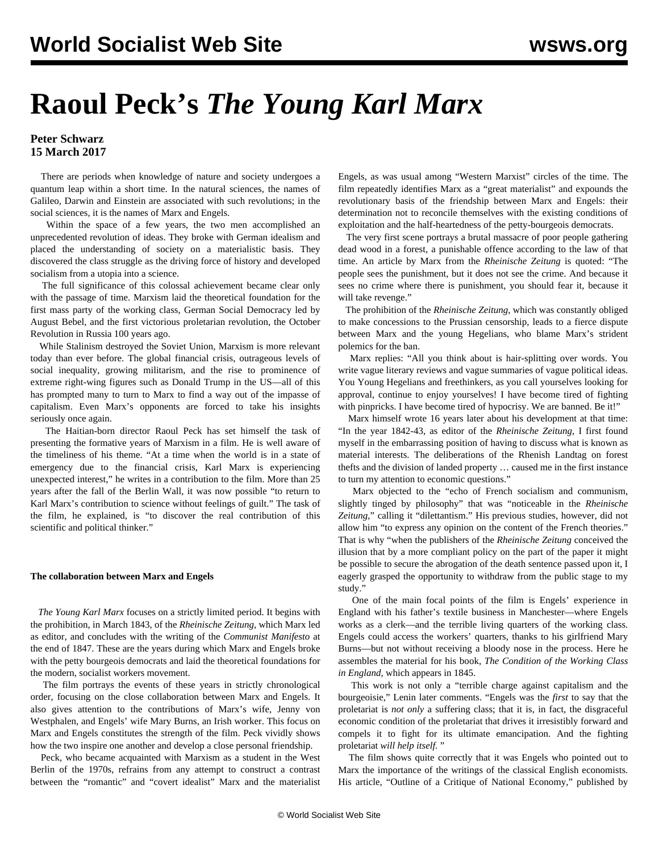# **Raoul Peck's** *The Young Karl Marx*

## **Peter Schwarz 15 March 2017**

 There are periods when knowledge of nature and society undergoes a quantum leap within a short time. In the natural sciences, the names of Galileo, Darwin and Einstein are associated with such revolutions; in the social sciences, it is the names of Marx and Engels.

 Within the space of a few years, the two men accomplished an unprecedented revolution of ideas. They broke with German idealism and placed the understanding of society on a materialistic basis. They discovered the class struggle as the driving force of history and developed socialism from a utopia into a science.

 The full significance of this colossal achievement became clear only with the passage of time. Marxism laid the theoretical foundation for the first mass party of the working class, German Social Democracy led by August Bebel, and the first victorious proletarian revolution, the October Revolution in Russia 100 years ago.

 While Stalinism destroyed the Soviet Union, Marxism is more relevant today than ever before. The global financial crisis, outrageous levels of social inequality, growing militarism, and the rise to prominence of extreme right-wing figures such as Donald Trump in the US—all of this has prompted many to turn to Marx to find a way out of the impasse of capitalism. Even Marx's opponents are forced to take his insights seriously once again.

 The Haitian-born director Raoul Peck has set himself the task of presenting the formative years of Marxism in a film. He is well aware of the timeliness of his theme. "At a time when the world is in a state of emergency due to the financial crisis, Karl Marx is experiencing unexpected interest," he writes in a contribution to the film. More than 25 years after the fall of the Berlin Wall, it was now possible "to return to Karl Marx's contribution to science without feelings of guilt." The task of the film, he explained, is "to discover the real contribution of this scientific and political thinker."

#### **The collaboration between Marx and Engels**

 *The Young Karl Marx* focuses on a strictly limited period. It begins with the prohibition, in March 1843, of the *Rheinische Zeitung*, which Marx led as editor, and concludes with the writing of the *Communist Manifesto* at the end of 1847. These are the years during which Marx and Engels broke with the petty bourgeois democrats and laid the theoretical foundations for the modern, socialist workers movement.

 The film portrays the events of these years in strictly chronological order, focusing on the close collaboration between Marx and Engels. It also gives attention to the contributions of Marx's wife, Jenny von Westphalen, and Engels' wife Mary Burns, an Irish worker. This focus on Marx and Engels constitutes the strength of the film. Peck vividly shows how the two inspire one another and develop a close personal friendship.

 Peck, who became acquainted with Marxism as a student in the West Berlin of the 1970s, refrains from any attempt to construct a contrast between the "romantic" and "covert idealist" Marx and the materialist

Engels, as was usual among "Western Marxist" circles of the time. The film repeatedly identifies Marx as a "great materialist" and expounds the revolutionary basis of the friendship between Marx and Engels: their determination not to reconcile themselves with the existing conditions of exploitation and the half-heartedness of the petty-bourgeois democrats.

 The very first scene portrays a brutal massacre of poor people gathering dead wood in a forest, a punishable offence according to the law of that time. An article by Marx from the *Rheinische Zeitung* is quoted: "The people sees the punishment, but it does not see the crime. And because it sees no crime where there is punishment, you should fear it, because it will take revenge."

 The prohibition of the *Rheinische Zeitung*, which was constantly obliged to make concessions to the Prussian censorship, leads to a fierce dispute between Marx and the young Hegelians, who blame Marx's strident polemics for the ban.

 Marx replies: "All you think about is hair-splitting over words. You write vague literary reviews and vague summaries of vague political ideas. You Young Hegelians and freethinkers, as you call yourselves looking for approval, continue to enjoy yourselves! I have become tired of fighting with pinpricks. I have become tired of hypocrisy. We are banned. Be it!"

 Marx himself wrote 16 years later about his development at that time: "In the year 1842-43, as editor of the *Rheinische Zeitung*, I first found myself in the embarrassing position of having to discuss what is known as material interests. The deliberations of the Rhenish Landtag on forest thefts and the division of landed property … caused me in the first instance to turn my attention to economic questions."

 Marx objected to the "echo of French socialism and communism, slightly tinged by philosophy" that was "noticeable in the *Rheinische Zeitung*," calling it "dilettantism." His previous studies, however, did not allow him "to express any opinion on the content of the French theories." That is why "when the publishers of the *Rheinische Zeitung* conceived the illusion that by a more compliant policy on the part of the paper it might be possible to secure the abrogation of the death sentence passed upon it, I eagerly grasped the opportunity to withdraw from the public stage to my study."

 One of the main focal points of the film is Engels' experience in England with his father's textile business in Manchester—where Engels works as a clerk—and the terrible living quarters of the working class. Engels could access the workers' quarters, thanks to his girlfriend Mary Burns—but not without receiving a bloody nose in the process. Here he assembles the material for his book, *The Condition of the Working Class in England*, which appears in 1845.

 This work is not only a "terrible charge against capitalism and the bourgeoisie," Lenin later comments. "Engels was the *first* to say that the proletariat is *not only* a suffering class; that it is, in fact, the disgraceful economic condition of the proletariat that drives it irresistibly forward and compels it to fight for its ultimate emancipation. And the fighting proletariat *will help itself.* "

 The film shows quite correctly that it was Engels who pointed out to Marx the importance of the writings of the classical English economists. His article, "Outline of a Critique of National Economy," published by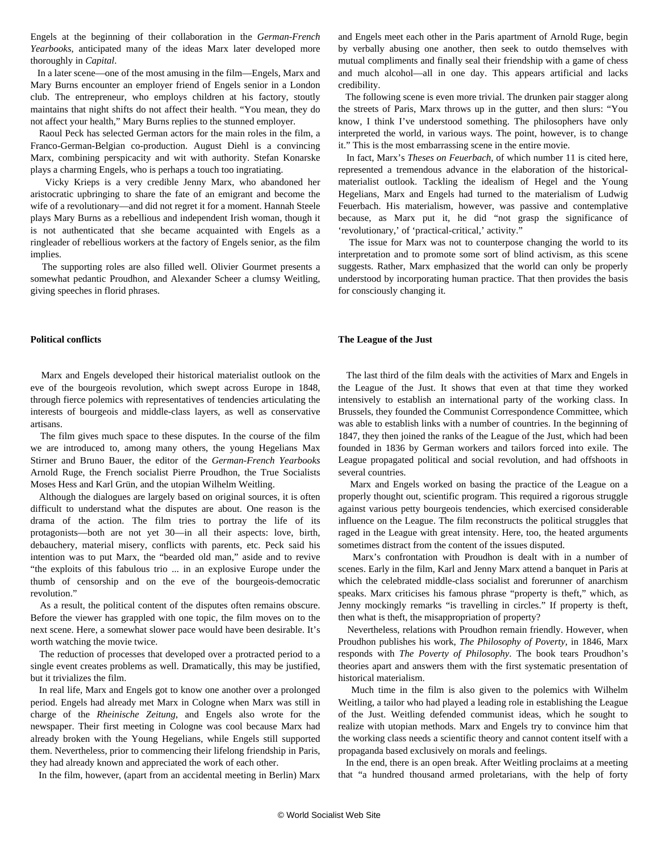Engels at the beginning of their collaboration in the *German-French Yearbooks*, anticipated many of the ideas Marx later developed more thoroughly in *Capital*.

 In a later scene—one of the most amusing in the film—Engels, Marx and Mary Burns encounter an employer friend of Engels senior in a London club. The entrepreneur, who employs children at his factory, stoutly maintains that night shifts do not affect their health. "You mean, they do not affect your health," Mary Burns replies to the stunned employer.

 Raoul Peck has selected German actors for the main roles in the film, a Franco-German-Belgian co-production. August Diehl is a convincing Marx, combining perspicacity and wit with authority. Stefan Konarske plays a charming Engels, who is perhaps a touch too ingratiating.

 Vicky Krieps is a very credible Jenny Marx, who abandoned her aristocratic upbringing to share the fate of an emigrant and become the wife of a revolutionary—and did not regret it for a moment. Hannah Steele plays Mary Burns as a rebellious and independent Irish woman, though it is not authenticated that she became acquainted with Engels as a ringleader of rebellious workers at the factory of Engels senior, as the film implies.

 The supporting roles are also filled well. Olivier Gourmet presents a somewhat pedantic Proudhon, and Alexander Scheer a clumsy Weitling, giving speeches in florid phrases.

### **Political conflicts**

 Marx and Engels developed their historical materialist outlook on the eve of the bourgeois revolution, which swept across Europe in 1848, through fierce polemics with representatives of tendencies articulating the interests of bourgeois and middle-class layers, as well as conservative artisans.

 The film gives much space to these disputes. In the course of the film we are introduced to, among many others, the young Hegelians Max Stirner and Bruno Bauer, the editor of the *German-French Yearbooks* Arnold Ruge, the French socialist Pierre Proudhon, the True Socialists Moses Hess and Karl Grün, and the utopian Wilhelm Weitling.

 Although the dialogues are largely based on original sources, it is often difficult to understand what the disputes are about. One reason is the drama of the action. The film tries to portray the life of its protagonists—both are not yet 30—in all their aspects: love, birth, debauchery, material misery, conflicts with parents, etc. Peck said his intention was to put Marx, the "bearded old man," aside and to revive "the exploits of this fabulous trio ... in an explosive Europe under the thumb of censorship and on the eve of the bourgeois-democratic revolution."

 As a result, the political content of the disputes often remains obscure. Before the viewer has grappled with one topic, the film moves on to the next scene. Here, a somewhat slower pace would have been desirable. It's worth watching the movie twice.

 The reduction of processes that developed over a protracted period to a single event creates problems as well. Dramatically, this may be justified, but it trivializes the film.

 In real life, Marx and Engels got to know one another over a prolonged period. Engels had already met Marx in Cologne when Marx was still in charge of the *Rheinische Zeitung*, and Engels also wrote for the newspaper. Their first meeting in Cologne was cool because Marx had already broken with the Young Hegelians, while Engels still supported them. Nevertheless, prior to commencing their lifelong friendship in Paris, they had already known and appreciated the work of each other.

In the film, however, (apart from an accidental meeting in Berlin) Marx

and Engels meet each other in the Paris apartment of Arnold Ruge, begin by verbally abusing one another, then seek to outdo themselves with mutual compliments and finally seal their friendship with a game of chess and much alcohol—all in one day. This appears artificial and lacks credibility.

 The following scene is even more trivial. The drunken pair stagger along the streets of Paris, Marx throws up in the gutter, and then slurs: "You know, I think I've understood something. The philosophers have only interpreted the world, in various ways. The point, however, is to change it." This is the most embarrassing scene in the entire movie.

 In fact, Marx's *Theses on Feuerbach*, of which number 11 is cited here, represented a tremendous advance in the elaboration of the historicalmaterialist outlook. Tackling the idealism of Hegel and the Young Hegelians, Marx and Engels had turned to the materialism of Ludwig Feuerbach. His materialism, however, was passive and contemplative because, as Marx put it, he did "not grasp the significance of 'revolutionary,' of 'practical-critical,' activity."

 The issue for Marx was not to counterpose changing the world to its interpretation and to promote some sort of blind activism, as this scene suggests. Rather, Marx emphasized that the world can only be properly understood by incorporating human practice. That then provides the basis for consciously changing it.

#### **The League of the Just**

 The last third of the film deals with the activities of Marx and Engels in the League of the Just. It shows that even at that time they worked intensively to establish an international party of the working class. In Brussels, they founded the Communist Correspondence Committee, which was able to establish links with a number of countries. In the beginning of 1847, they then joined the ranks of the League of the Just, which had been founded in 1836 by German workers and tailors forced into exile. The League propagated political and social revolution, and had offshoots in several countries.

 Marx and Engels worked on basing the practice of the League on a properly thought out, scientific program. This required a rigorous struggle against various petty bourgeois tendencies, which exercised considerable influence on the League. The film reconstructs the political struggles that raged in the League with great intensity. Here, too, the heated arguments sometimes distract from the content of the issues disputed.

 Marx's confrontation with Proudhon is dealt with in a number of scenes. Early in the film, Karl and Jenny Marx attend a banquet in Paris at which the celebrated middle-class socialist and forerunner of anarchism speaks. Marx criticises his famous phrase "property is theft," which, as Jenny mockingly remarks "is travelling in circles." If property is theft, then what is theft, the misappropriation of property?

 Nevertheless, relations with Proudhon remain friendly. However, when Proudhon publishes his work, *The Philosophy of Poverty*, in 1846, Marx responds with *The Poverty of Philosophy*. The book tears Proudhon's theories apart and answers them with the first systematic presentation of historical materialism.

 Much time in the film is also given to the polemics with Wilhelm Weitling, a tailor who had played a leading role in establishing the League of the Just. Weitling defended communist ideas, which he sought to realize with utopian methods. Marx and Engels try to convince him that the working class needs a scientific theory and cannot content itself with a propaganda based exclusively on morals and feelings.

 In the end, there is an open break. After Weitling proclaims at a meeting that "a hundred thousand armed proletarians, with the help of forty